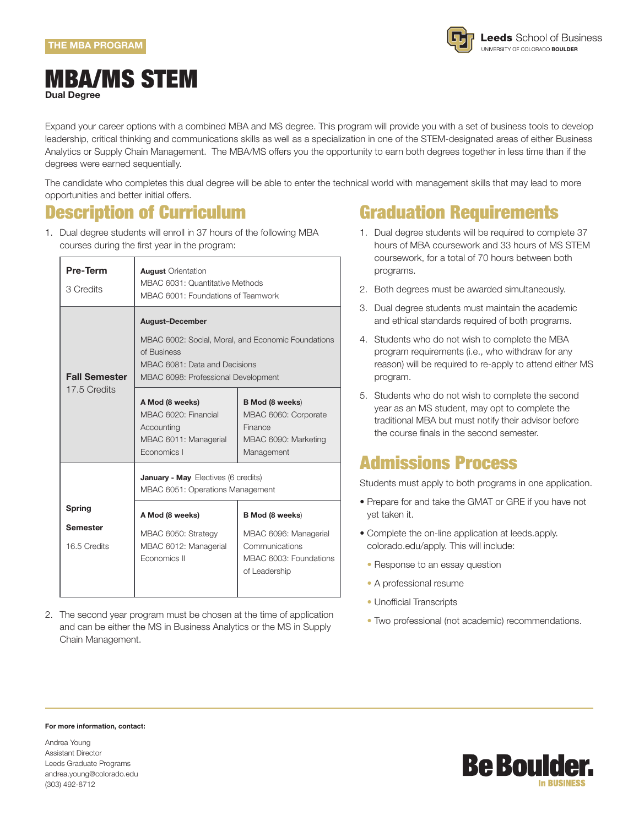

#### MBA/MS STEM **Dual Degree**

Expand your career options with a combined MBA and MS degree. This program will provide you with a set of business tools to develop leadership, critical thinking and communications skills as well as a specialization in one of the STEM-designated areas of either Business Analytics or Supply Chain Management. The MBA/MS offers you the opportunity to earn both degrees together in less time than if the degrees were earned sequentially.

The candidate who completes this dual degree will be able to enter the technical world with management skills that may lead to more opportunities and better initial offers.

#### Description of Curriculum

1. Dual degree students will enroll in 37 hours of the following MBA courses during the first year in the program:

| <b>Pre-Term</b><br>3 Credits    | <b>August</b> Orientation<br>MBAC 6031: Quantitative Methods<br>MBAC 6001: Foundations of Teamwork                                                                  |                                                                                                 |  |  |
|---------------------------------|---------------------------------------------------------------------------------------------------------------------------------------------------------------------|-------------------------------------------------------------------------------------------------|--|--|
| <b>Fall Semester</b>            | <b>August-December</b><br>MBAC 6002: Social, Moral, and Economic Foundations<br>of Business<br>MBAC 6081: Data and Decisions<br>MBAC 6098: Professional Development |                                                                                                 |  |  |
| 17.5 Credits                    | A Mod (8 weeks)<br>MBAC 6020: Financial<br>Accounting<br>MBAC 6011: Managerial<br>Economics I                                                                       | <b>B</b> Mod (8 weeks)<br>MBAC 6060: Corporate<br>Finance<br>MBAC 6090: Marketing<br>Management |  |  |
|                                 | January - May Electives (6 credits)<br>MBAC 6051: Operations Management                                                                                             |                                                                                                 |  |  |
| Spring                          | A Mod (8 weeks)                                                                                                                                                     | <b>B</b> Mod (8 weeks)                                                                          |  |  |
| <b>Semester</b><br>16.5 Credits | MBAC 6050: Strategy<br>MBAC 6012: Managerial<br>Economics II                                                                                                        | MBAC 6096: Managerial<br>Communications<br>MBAC 6003: Foundations<br>of Leadership              |  |  |

2. The second year program must be chosen at the time of application and can be either the MS in Business Analytics or the MS in Supply Chain Management.

## Graduation Requirements

- 1. Dual degree students will be required to complete 37 hours of MBA coursework and 33 hours of MS STEM coursework, for a total of 70 hours between both programs.
- 2. Both degrees must be awarded simultaneously.
- 3. Dual degree students must maintain the academic and ethical standards required of both programs.
- 4. Students who do not wish to complete the MBA program requirements (i.e., who withdraw for any reason) will be required to re-apply to attend either MS program.
- 5. Students who do not wish to complete the second year as an MS student, may opt to complete the traditional MBA but must notify their advisor before the course finals in the second semester.

### Admissions Process

Students must apply to both programs in one application.

- Prepare for and take the GMAT or GRE if you have not yet taken it.
- Complete the on-line application at leeds.apply. colorado.edu/apply. This will include:
- Response to an essay question
- A professional resume
- Unofficial Transcripts
- Two professional (not academic) recommendations.

#### **For more information, contact:**

Andrea Young Assistant Director Leeds Graduate Programs andrea.young@colorado.edu (303) 492-8712